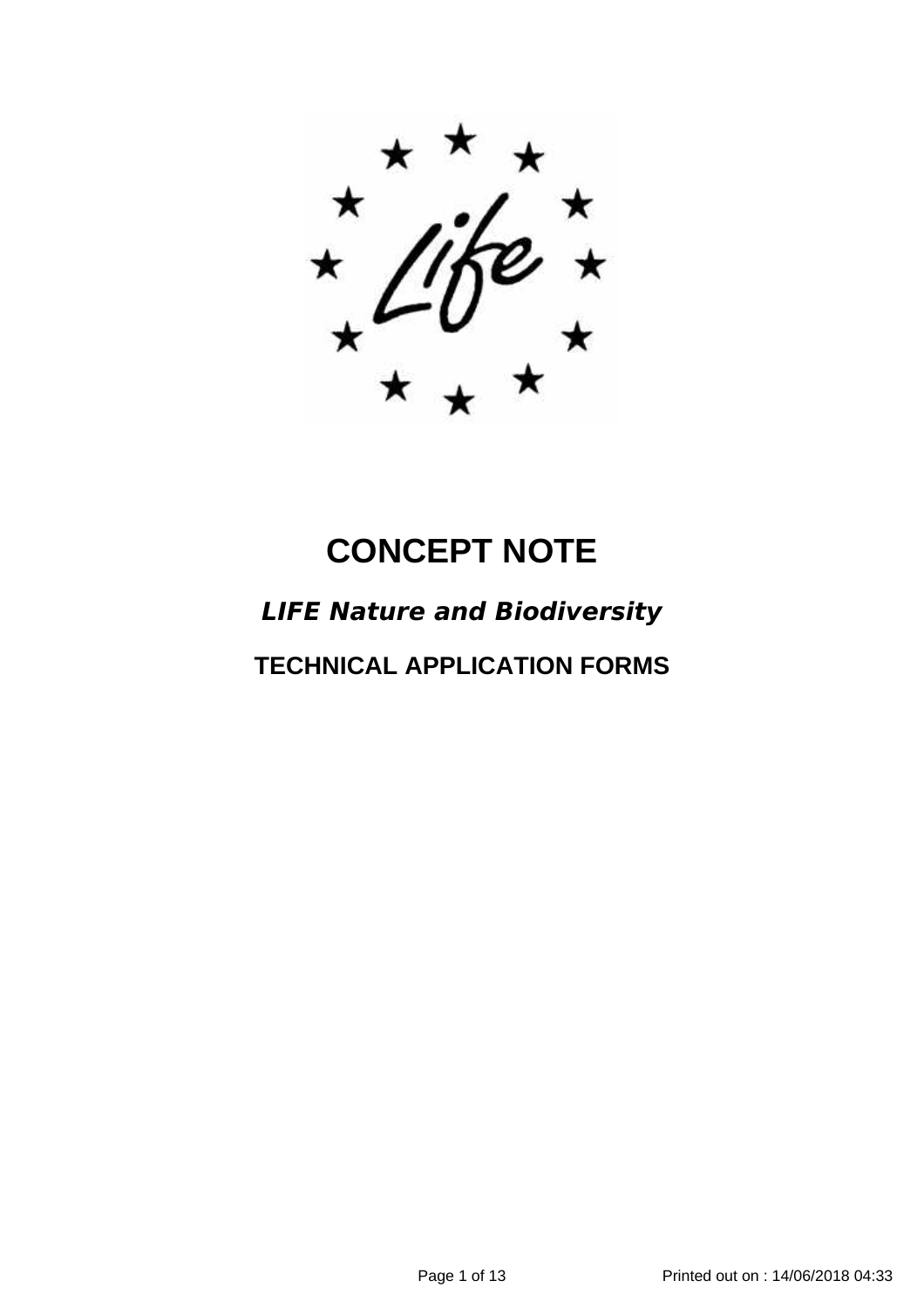# **CONCEPT NOTE**

## *LIFE Nature and Biodiversity*

**TECHNICAL APPLICATION FORMS**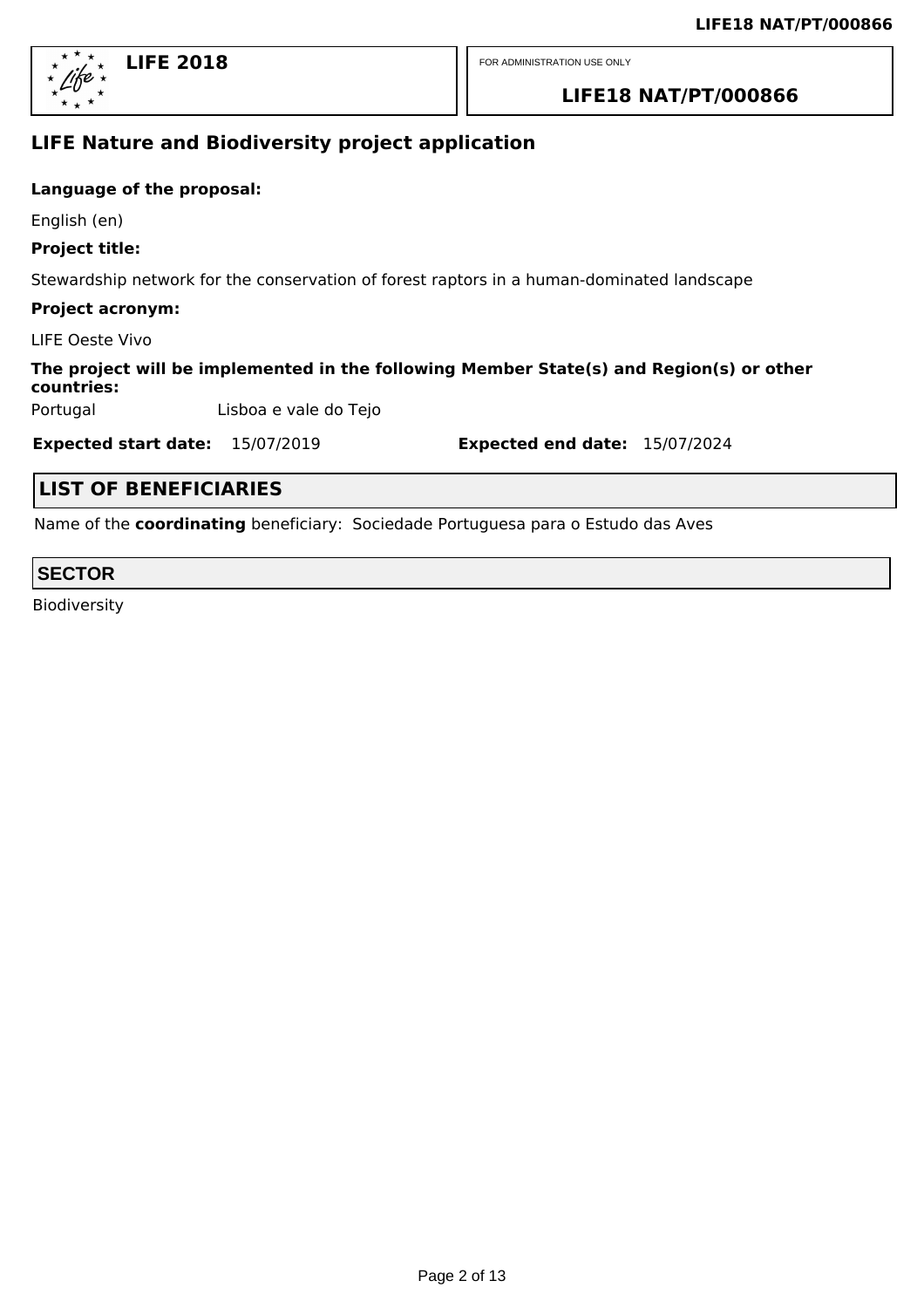

#### **LIFE18 NAT/PT/000866**

### **LIFE Nature and Biodiversity project application**

#### **Language of the proposal:**

English (en)

#### **Project title:**

Stewardship network for the conservation of forest raptors in a human-dominated landscape

#### **Project acronym:**

LIFE Oeste Vivo

#### **The project will be implemented in the following Member State(s) and Region(s) or other countries:**

Portugal Lisboa e vale do Tejo

**Expected start date:** 15/07/2019 **Expected end date:** 15/07/2024

#### **LIST OF BENEFICIARIES**

Name of the **coordinating** beneficiary: Sociedade Portuguesa para o Estudo das Aves

#### **SECTOR**

Biodiversity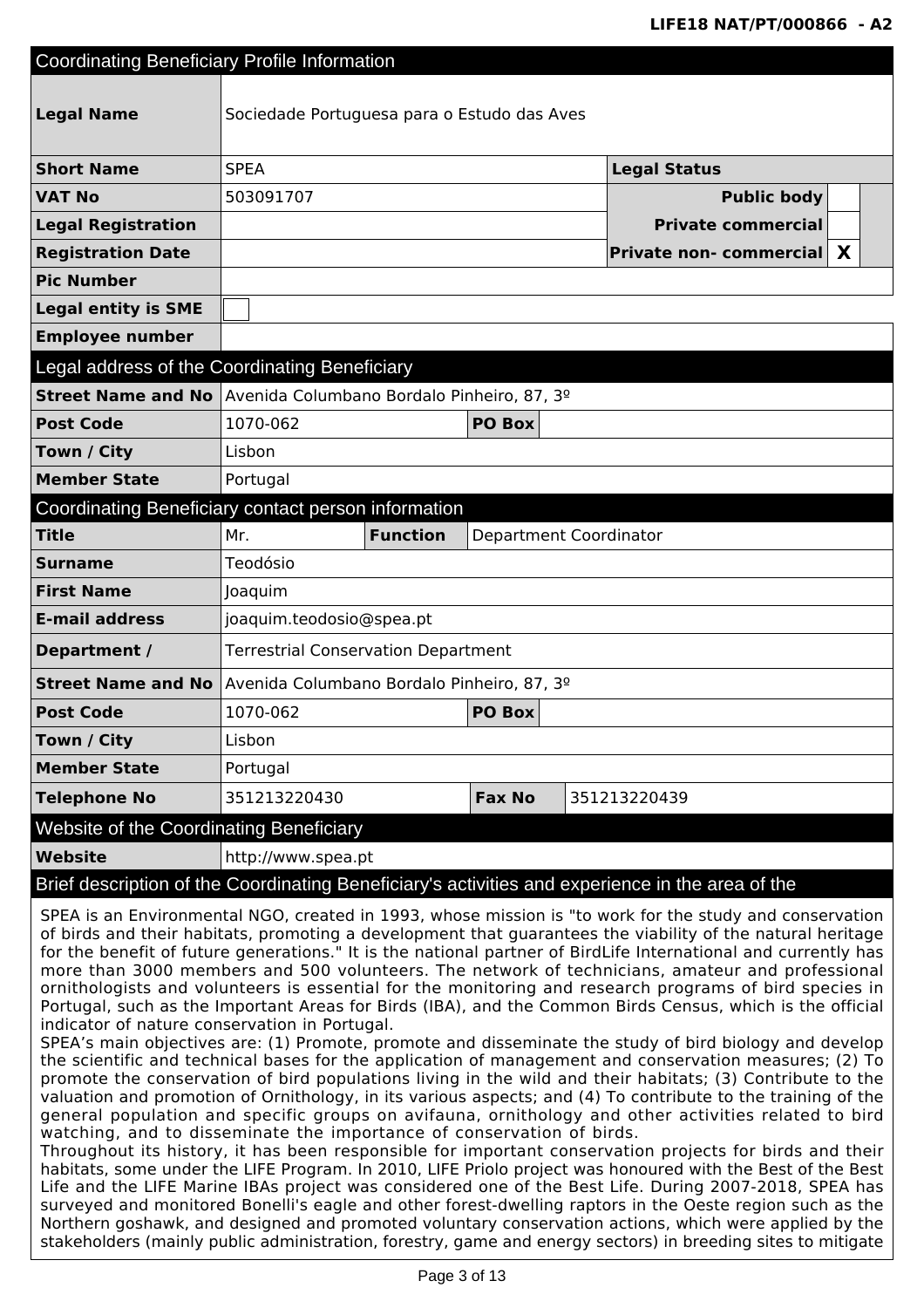| <b>Coordinating Beneficiary Profile Information</b>                                                                                                                                                                                                                                                                                                                                                                                                                                                                                                                                                                            |                                             |                 |               |                                                                                                  |  |  |
|--------------------------------------------------------------------------------------------------------------------------------------------------------------------------------------------------------------------------------------------------------------------------------------------------------------------------------------------------------------------------------------------------------------------------------------------------------------------------------------------------------------------------------------------------------------------------------------------------------------------------------|---------------------------------------------|-----------------|---------------|--------------------------------------------------------------------------------------------------|--|--|
|                                                                                                                                                                                                                                                                                                                                                                                                                                                                                                                                                                                                                                |                                             |                 |               |                                                                                                  |  |  |
| <b>Legal Name</b>                                                                                                                                                                                                                                                                                                                                                                                                                                                                                                                                                                                                              | Sociedade Portuguesa para o Estudo das Aves |                 |               |                                                                                                  |  |  |
| <b>Short Name</b>                                                                                                                                                                                                                                                                                                                                                                                                                                                                                                                                                                                                              | <b>SPEA</b>                                 |                 |               | <b>Legal Status</b>                                                                              |  |  |
| <b>VAT No</b>                                                                                                                                                                                                                                                                                                                                                                                                                                                                                                                                                                                                                  | 503091707                                   |                 |               | <b>Public body</b>                                                                               |  |  |
| <b>Legal Registration</b>                                                                                                                                                                                                                                                                                                                                                                                                                                                                                                                                                                                                      |                                             |                 |               | <b>Private commercial</b>                                                                        |  |  |
| <b>Registration Date</b>                                                                                                                                                                                                                                                                                                                                                                                                                                                                                                                                                                                                       |                                             |                 |               | <b>Private non- commercial</b><br>X                                                              |  |  |
| <b>Pic Number</b>                                                                                                                                                                                                                                                                                                                                                                                                                                                                                                                                                                                                              |                                             |                 |               |                                                                                                  |  |  |
| <b>Legal entity is SME</b>                                                                                                                                                                                                                                                                                                                                                                                                                                                                                                                                                                                                     |                                             |                 |               |                                                                                                  |  |  |
| <b>Employee number</b>                                                                                                                                                                                                                                                                                                                                                                                                                                                                                                                                                                                                         |                                             |                 |               |                                                                                                  |  |  |
| Legal address of the Coordinating Beneficiary                                                                                                                                                                                                                                                                                                                                                                                                                                                                                                                                                                                  |                                             |                 |               |                                                                                                  |  |  |
| Street Name and No Avenida Columbano Bordalo Pinheiro, 87, 3º                                                                                                                                                                                                                                                                                                                                                                                                                                                                                                                                                                  |                                             |                 |               |                                                                                                  |  |  |
| <b>Post Code</b>                                                                                                                                                                                                                                                                                                                                                                                                                                                                                                                                                                                                               | 1070-062                                    |                 | PO Box        |                                                                                                  |  |  |
| Town / City                                                                                                                                                                                                                                                                                                                                                                                                                                                                                                                                                                                                                    | Lisbon                                      |                 |               |                                                                                                  |  |  |
| <b>Member State</b>                                                                                                                                                                                                                                                                                                                                                                                                                                                                                                                                                                                                            | Portugal                                    |                 |               |                                                                                                  |  |  |
| Coordinating Beneficiary contact person information                                                                                                                                                                                                                                                                                                                                                                                                                                                                                                                                                                            |                                             |                 |               |                                                                                                  |  |  |
| <b>Title</b>                                                                                                                                                                                                                                                                                                                                                                                                                                                                                                                                                                                                                   | Mr.                                         | <b>Function</b> |               | Department Coordinator                                                                           |  |  |
| <b>Surname</b>                                                                                                                                                                                                                                                                                                                                                                                                                                                                                                                                                                                                                 | Teodósio                                    |                 |               |                                                                                                  |  |  |
| <b>First Name</b>                                                                                                                                                                                                                                                                                                                                                                                                                                                                                                                                                                                                              | Joaquim                                     |                 |               |                                                                                                  |  |  |
| <b>E-mail address</b>                                                                                                                                                                                                                                                                                                                                                                                                                                                                                                                                                                                                          | joaquim.teodosio@spea.pt                    |                 |               |                                                                                                  |  |  |
| Department /                                                                                                                                                                                                                                                                                                                                                                                                                                                                                                                                                                                                                   | <b>Terrestrial Conservation Department</b>  |                 |               |                                                                                                  |  |  |
| <b>Street Name and No</b>                                                                                                                                                                                                                                                                                                                                                                                                                                                                                                                                                                                                      | Avenida Columbano Bordalo Pinheiro, 87, 3º  |                 |               |                                                                                                  |  |  |
| <b>Post Code</b>                                                                                                                                                                                                                                                                                                                                                                                                                                                                                                                                                                                                               | 1070-062                                    |                 | PO Box        |                                                                                                  |  |  |
| Town / City                                                                                                                                                                                                                                                                                                                                                                                                                                                                                                                                                                                                                    | Lisbon                                      |                 |               |                                                                                                  |  |  |
| <b>Member State</b>                                                                                                                                                                                                                                                                                                                                                                                                                                                                                                                                                                                                            | Portugal                                    |                 |               |                                                                                                  |  |  |
| <b>Telephone No</b>                                                                                                                                                                                                                                                                                                                                                                                                                                                                                                                                                                                                            | 351213220430                                |                 | <b>Fax No</b> | 351213220439                                                                                     |  |  |
| Website of the Coordinating Beneficiary                                                                                                                                                                                                                                                                                                                                                                                                                                                                                                                                                                                        |                                             |                 |               |                                                                                                  |  |  |
| <b>Website</b>                                                                                                                                                                                                                                                                                                                                                                                                                                                                                                                                                                                                                 | http://www.spea.pt                          |                 |               |                                                                                                  |  |  |
|                                                                                                                                                                                                                                                                                                                                                                                                                                                                                                                                                                                                                                |                                             |                 |               | Brief description of the Coordinating Beneficiary's activities and experience in the area of the |  |  |
| SPEA is an Environmental NGO, created in 1993, whose mission is "to work for the study and conservation<br>of birds and their habitats, promoting a development that guarantees the viability of the natural heritage<br>for the benefit of future generations." It is the national partner of BirdLife International and currently has<br>more than 3000 members and 500 volunteers. The network of technicians, amateur and professional                                                                                                                                                                                     |                                             |                 |               |                                                                                                  |  |  |
| ornithologists and volunteers is essential for the monitoring and research programs of bird species in<br>Portugal, such as the Important Areas for Birds (IBA), and the Common Birds Census, which is the official<br>indicator of nature conservation in Portugal.                                                                                                                                                                                                                                                                                                                                                           |                                             |                 |               |                                                                                                  |  |  |
| SPEA's main objectives are: (1) Promote, promote and disseminate the study of bird biology and develop<br>the scientific and technical bases for the application of management and conservation measures; (2) To<br>promote the conservation of bird populations living in the wild and their habitats; (3) Contribute to the<br>valuation and promotion of Ornithology, in its various aspects; and (4) To contribute to the training of the<br>general population and specific groups on avifauna, ornithology and other activities related to bird<br>watching, and to disseminate the importance of conservation of birds. |                                             |                 |               |                                                                                                  |  |  |

Throughout its history, it has been responsible for important conservation projects for birds and their habitats, some under the LIFE Program. In 2010, LIFE Priolo project was honoured with the Best of the Best Life and the LIFE Marine IBAs project was considered one of the Best Life. During 2007-2018, SPEA has surveyed and monitored Bonelli's eagle and other forest-dwelling raptors in the Oeste region such as the Northern goshawk, and designed and promoted voluntary conservation actions, which were applied by the stakeholders (mainly public administration, forestry, game and energy sectors) in breeding sites to mitigate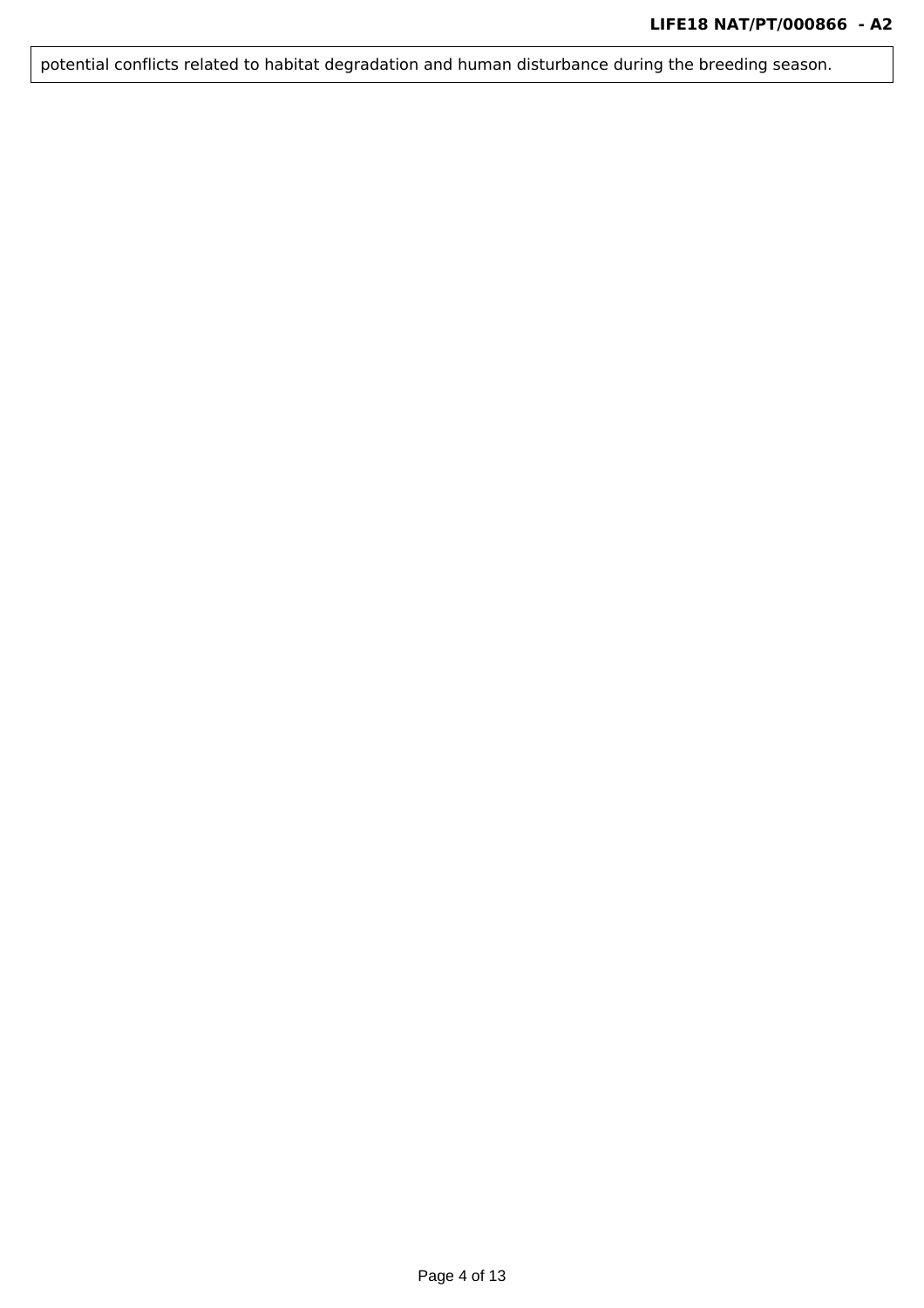potential conflicts related to habitat degradation and human disturbance during the breeding season.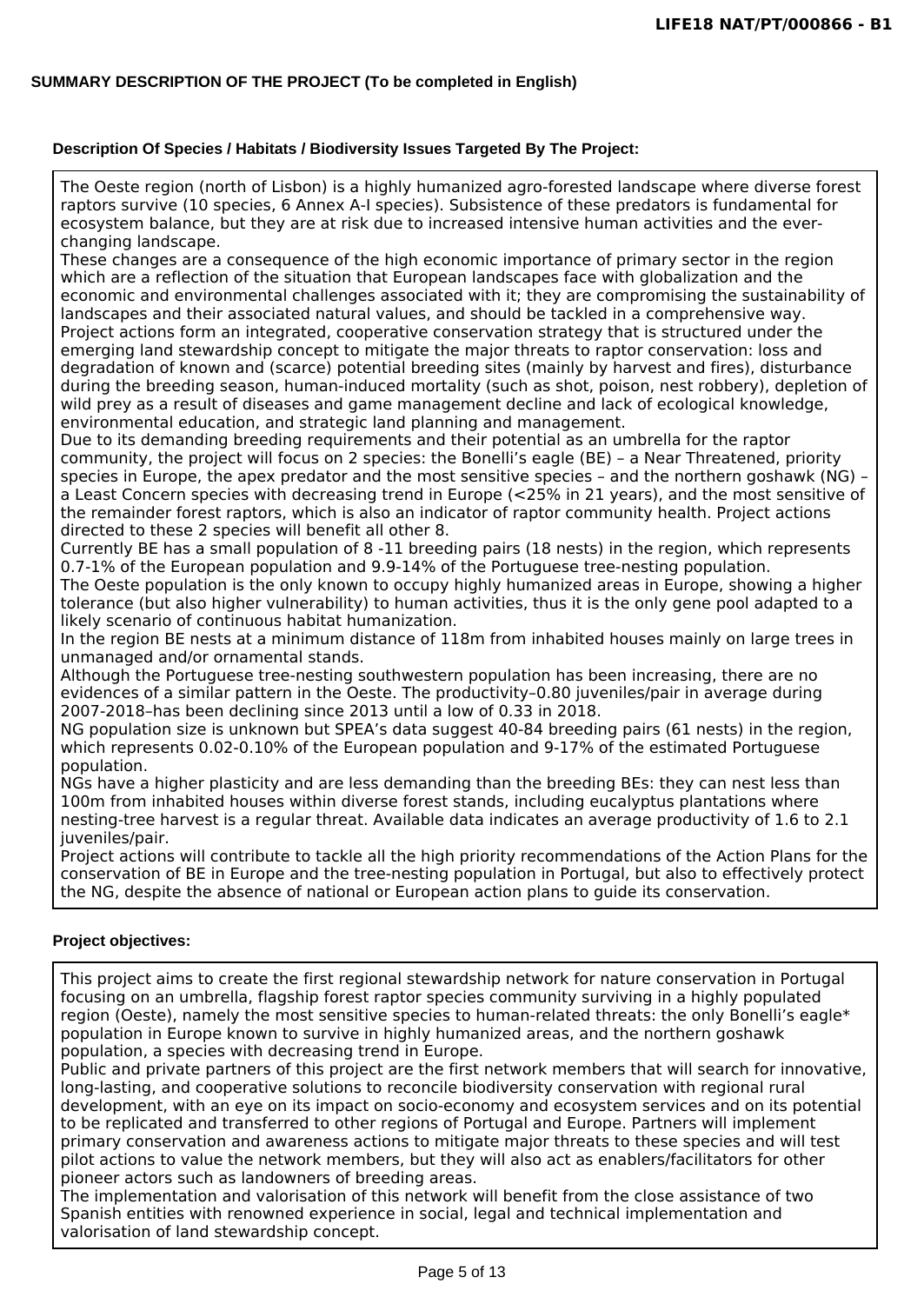#### **SUMMARY DESCRIPTION OF THE PROJECT (To be completed in English)**

#### **Description Of Species / Habitats / Biodiversity Issues Targeted By The Project:**

The Oeste region (north of Lisbon) is a highly humanized agro-forested landscape where diverse forest raptors survive (10 species, 6 Annex A-I species). Subsistence of these predators is fundamental for ecosystem balance, but they are at risk due to increased intensive human activities and the everchanging landscape.

These changes are a consequence of the high economic importance of primary sector in the region which are a reflection of the situation that European landscapes face with globalization and the economic and environmental challenges associated with it; they are compromising the sustainability of landscapes and their associated natural values, and should be tackled in a comprehensive way. Project actions form an integrated, cooperative conservation strategy that is structured under the emerging land stewardship concept to mitigate the major threats to raptor conservation: loss and degradation of known and (scarce) potential breeding sites (mainly by harvest and fires), disturbance during the breeding season, human-induced mortality (such as shot, poison, nest robbery), depletion of wild prey as a result of diseases and game management decline and lack of ecological knowledge, environmental education, and strategic land planning and management.

Due to its demanding breeding requirements and their potential as an umbrella for the raptor community, the project will focus on 2 species: the Bonelli's eagle (BE) – a Near Threatened, priority species in Europe, the apex predator and the most sensitive species – and the northern goshawk (NG) – a Least Concern species with decreasing trend in Europe (<25% in 21 years), and the most sensitive of the remainder forest raptors, which is also an indicator of raptor community health. Project actions directed to these 2 species will benefit all other 8.

Currently BE has a small population of 8 -11 breeding pairs (18 nests) in the region, which represents 0.7-1% of the European population and 9.9-14% of the Portuguese tree-nesting population. The Oeste population is the only known to occupy highly humanized areas in Europe, showing a higher

tolerance (but also higher vulnerability) to human activities, thus it is the only gene pool adapted to a likely scenario of continuous habitat humanization.

In the region BE nests at a minimum distance of 118m from inhabited houses mainly on large trees in unmanaged and/or ornamental stands.

Although the Portuguese tree-nesting southwestern population has been increasing, there are no evidences of a similar pattern in the Oeste. The productivity–0.80 juveniles/pair in average during 2007-2018–has been declining since 2013 until a low of 0.33 in 2018.

NG population size is unknown but SPEA's data suggest 40-84 breeding pairs (61 nests) in the region, which represents 0.02-0.10% of the European population and 9-17% of the estimated Portuguese population.

NGs have a higher plasticity and are less demanding than the breeding BEs: they can nest less than 100m from inhabited houses within diverse forest stands, including eucalyptus plantations where nesting-tree harvest is a regular threat. Available data indicates an average productivity of 1.6 to 2.1 juveniles/pair.

Project actions will contribute to tackle all the high priority recommendations of the Action Plans for the conservation of BE in Europe and the tree-nesting population in Portugal, but also to effectively protect the NG, despite the absence of national or European action plans to guide its conservation.

#### **Project objectives:**

This project aims to create the first regional stewardship network for nature conservation in Portugal focusing on an umbrella, flagship forest raptor species community surviving in a highly populated region (Oeste), namely the most sensitive species to human-related threats: the only Bonelli's eagle\* population in Europe known to survive in highly humanized areas, and the northern goshawk population, a species with decreasing trend in Europe.

Public and private partners of this project are the first network members that will search for innovative, long-lasting, and cooperative solutions to reconcile biodiversity conservation with regional rural development, with an eye on its impact on socio-economy and ecosystem services and on its potential to be replicated and transferred to other regions of Portugal and Europe. Partners will implement primary conservation and awareness actions to mitigate major threats to these species and will test pilot actions to value the network members, but they will also act as enablers/facilitators for other pioneer actors such as landowners of breeding areas.

The implementation and valorisation of this network will benefit from the close assistance of two Spanish entities with renowned experience in social, legal and technical implementation and valorisation of land stewardship concept.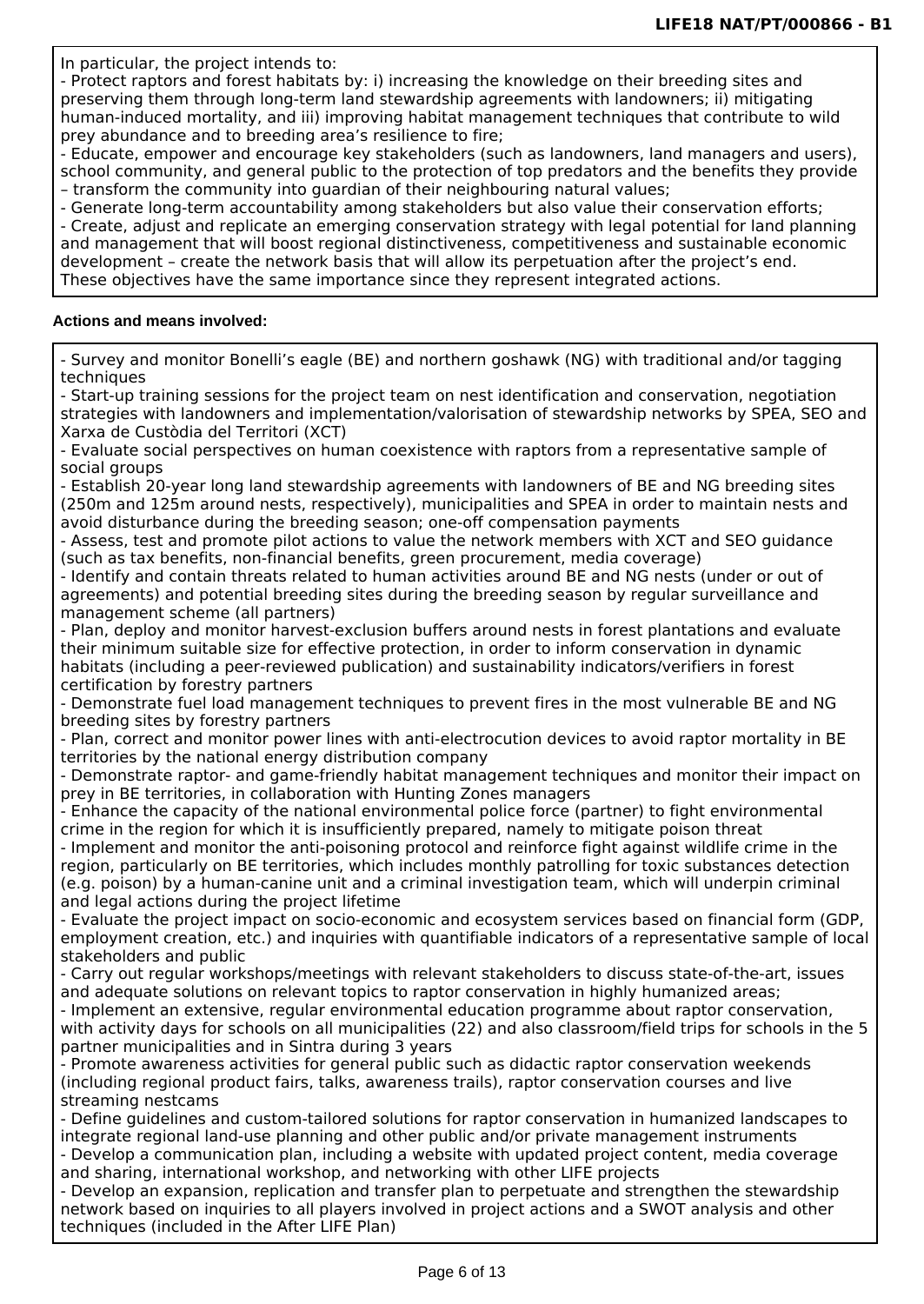In particular, the project intends to:

- Protect raptors and forest habitats by: i) increasing the knowledge on their breeding sites and preserving them through long-term land stewardship agreements with landowners; ii) mitigating human-induced mortality, and iii) improving habitat management techniques that contribute to wild prey abundance and to breeding area's resilience to fire;

- Educate, empower and encourage key stakeholders (such as landowners, land managers and users), school community, and general public to the protection of top predators and the benefits they provide – transform the community into guardian of their neighbouring natural values;

- Generate long-term accountability among stakeholders but also value their conservation efforts; - Create, adjust and replicate an emerging conservation strategy with legal potential for land planning and management that will boost regional distinctiveness, competitiveness and sustainable economic development – create the network basis that will allow its perpetuation after the project's end. These objectives have the same importance since they represent integrated actions.

#### **Actions and means involved:**

- Survey and monitor Bonelli's eagle (BE) and northern goshawk (NG) with traditional and/or tagging techniques

- Start-up training sessions for the project team on nest identification and conservation, negotiation strategies with landowners and implementation/valorisation of stewardship networks by SPEA, SEO and Xarxa de Custòdia del Territori (XCT)

- Evaluate social perspectives on human coexistence with raptors from a representative sample of social groups

- Establish 20-year long land stewardship agreements with landowners of BE and NG breeding sites (250m and 125m around nests, respectively), municipalities and SPEA in order to maintain nests and avoid disturbance during the breeding season; one-off compensation payments

- Assess, test and promote pilot actions to value the network members with XCT and SEO guidance (such as tax benefits, non-financial benefits, green procurement, media coverage)

- Identify and contain threats related to human activities around BE and NG nests (under or out of agreements) and potential breeding sites during the breeding season by regular surveillance and management scheme (all partners)

- Plan, deploy and monitor harvest-exclusion buffers around nests in forest plantations and evaluate their minimum suitable size for effective protection, in order to inform conservation in dynamic habitats (including a peer-reviewed publication) and sustainability indicators/verifiers in forest certification by forestry partners

- Demonstrate fuel load management techniques to prevent fires in the most vulnerable BE and NG breeding sites by forestry partners

- Plan, correct and monitor power lines with anti-electrocution devices to avoid raptor mortality in BE territories by the national energy distribution company

- Demonstrate raptor- and game-friendly habitat management techniques and monitor their impact on prey in BE territories, in collaboration with Hunting Zones managers

- Enhance the capacity of the national environmental police force (partner) to fight environmental crime in the region for which it is insufficiently prepared, namely to mitigate poison threat

- Implement and monitor the anti-poisoning protocol and reinforce fight against wildlife crime in the region, particularly on BE territories, which includes monthly patrolling for toxic substances detection (e.g. poison) by a human-canine unit and a criminal investigation team, which will underpin criminal and legal actions during the project lifetime

- Evaluate the project impact on socio-economic and ecosystem services based on financial form (GDP, employment creation, etc.) and inquiries with quantifiable indicators of a representative sample of local stakeholders and public

- Carry out regular workshops/meetings with relevant stakeholders to discuss state-of-the-art, issues and adequate solutions on relevant topics to raptor conservation in highly humanized areas;

- Implement an extensive, regular environmental education programme about raptor conservation, with activity days for schools on all municipalities (22) and also classroom/field trips for schools in the 5 partner municipalities and in Sintra during 3 years

- Promote awareness activities for general public such as didactic raptor conservation weekends (including regional product fairs, talks, awareness trails), raptor conservation courses and live streaming nestcams

- Define guidelines and custom-tailored solutions for raptor conservation in humanized landscapes to integrate regional land-use planning and other public and/or private management instruments

- Develop a communication plan, including a website with updated project content, media coverage and sharing, international workshop, and networking with other LIFE projects

- Develop an expansion, replication and transfer plan to perpetuate and strengthen the stewardship network based on inquiries to all players involved in project actions and a SWOT analysis and other techniques (included in the After LIFE Plan)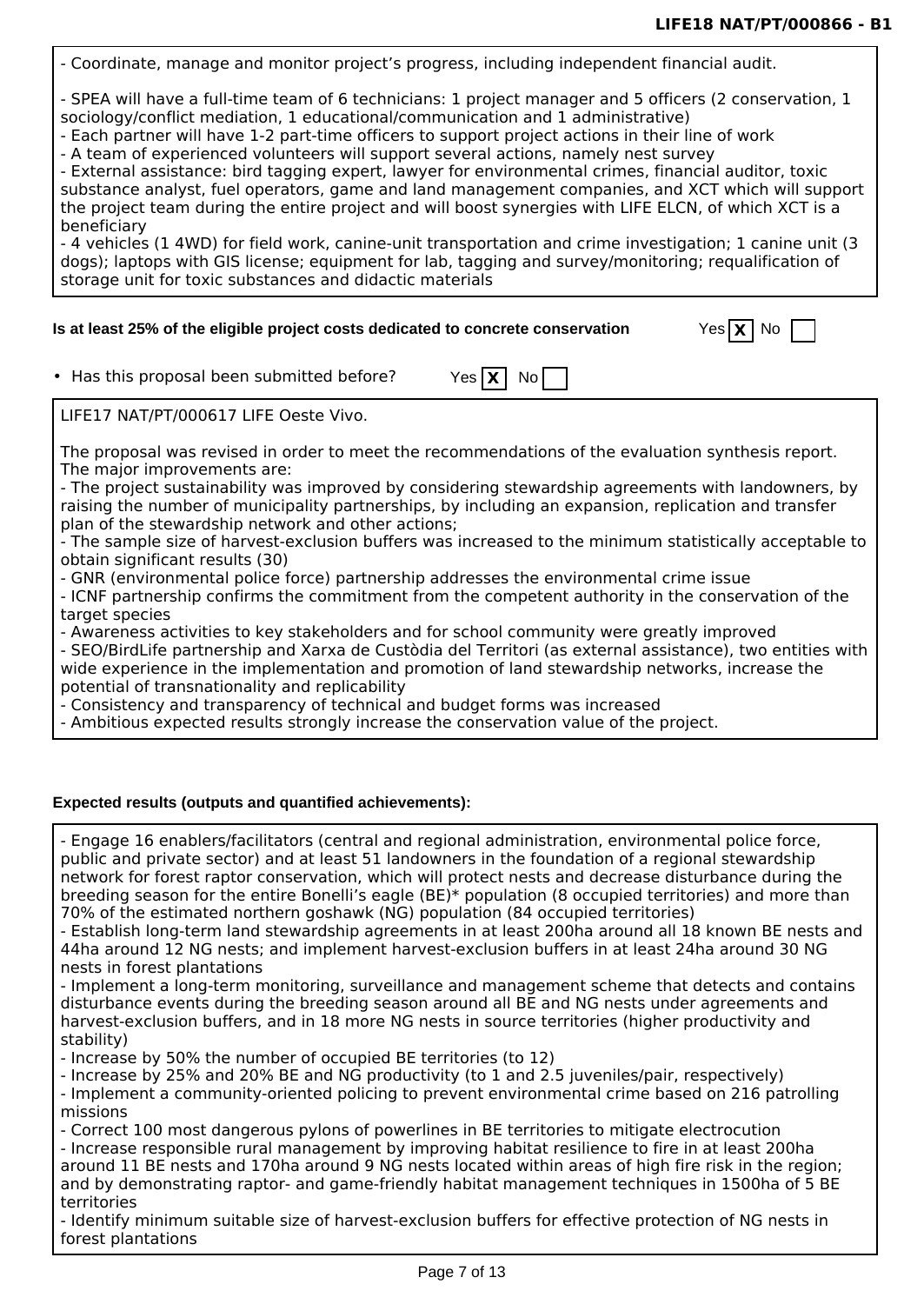- Coordinate, manage and monitor project's progress, including independent financial audit.

- SPEA will have a full-time team of 6 technicians: 1 project manager and 5 officers (2 conservation, 1 sociology/conflict mediation, 1 educational/communication and 1 administrative)

- Each partner will have 1-2 part-time officers to support project actions in their line of work

- A team of experienced volunteers will support several actions, namely nest survey

- External assistance: bird tagging expert, lawyer for environmental crimes, financial auditor, toxic substance analyst, fuel operators, game and land management companies, and XCT which will support the project team during the entire project and will boost synergies with LIFE ELCN, of which XCT is a beneficiary

- 4 vehicles (1 4WD) for field work, canine-unit transportation and crime investigation; 1 canine unit (3 dogs); laptops with GIS license; equipment for lab, tagging and survey/monitoring; requalification of storage unit for toxic substances and didactic materials

#### Is at least 25% of the eligible project costs dedicated to concrete conservation

| eslX | N٥ |  |
|------|----|--|
|      |    |  |

• Has this proposal been submitted before? Yes  $X \mid N$ 

The proposal was revised in order to meet the recommendations of the evaluation synthesis report. The major improvements are:

- The project sustainability was improved by considering stewardship agreements with landowners, by raising the number of municipality partnerships, by including an expansion, replication and transfer plan of the stewardship network and other actions;

- The sample size of harvest-exclusion buffers was increased to the minimum statistically acceptable to obtain significant results (30)

- GNR (environmental police force) partnership addresses the environmental crime issue

- ICNF partnership confirms the commitment from the competent authority in the conservation of the target species

- Awareness activities to key stakeholders and for school community were greatly improved

- SEO/BirdLife partnership and Xarxa de Custòdia del Territori (as external assistance), two entities with wide experience in the implementation and promotion of land stewardship networks, increase the potential of transnationality and replicability

- Consistency and transparency of technical and budget forms was increased

- Ambitious expected results strongly increase the conservation value of the project.

#### **Expected results (outputs and quantified achievements):**

- Engage 16 enablers/facilitators (central and regional administration, environmental police force, public and private sector) and at least 51 landowners in the foundation of a regional stewardship network for forest raptor conservation, which will protect nests and decrease disturbance during the breeding season for the entire Bonelli's eagle (BE)\* population (8 occupied territories) and more than 70% of the estimated northern goshawk (NG) population (84 occupied territories)

- Establish long-term land stewardship agreements in at least 200ha around all 18 known BE nests and 44ha around 12 NG nests; and implement harvest-exclusion buffers in at least 24ha around 30 NG nests in forest plantations

- Implement a long-term monitoring, surveillance and management scheme that detects and contains disturbance events during the breeding season around all BE and NG nests under agreements and harvest-exclusion buffers, and in 18 more NG nests in source territories (higher productivity and stability)

- Increase by 50% the number of occupied BE territories (to 12)

- Increase by 25% and 20% BE and NG productivity (to 1 and 2.5 juveniles/pair, respectively)

- Implement a community-oriented policing to prevent environmental crime based on 216 patrolling missions

- Correct 100 most dangerous pylons of powerlines in BE territories to mitigate electrocution

- Increase responsible rural management by improving habitat resilience to fire in at least 200ha around 11 BE nests and 170ha around 9 NG nests located within areas of high fire risk in the region; and by demonstrating raptor- and game-friendly habitat management techniques in 1500ha of 5 BE territories

- Identify minimum suitable size of harvest-exclusion buffers for effective protection of NG nests in forest plantations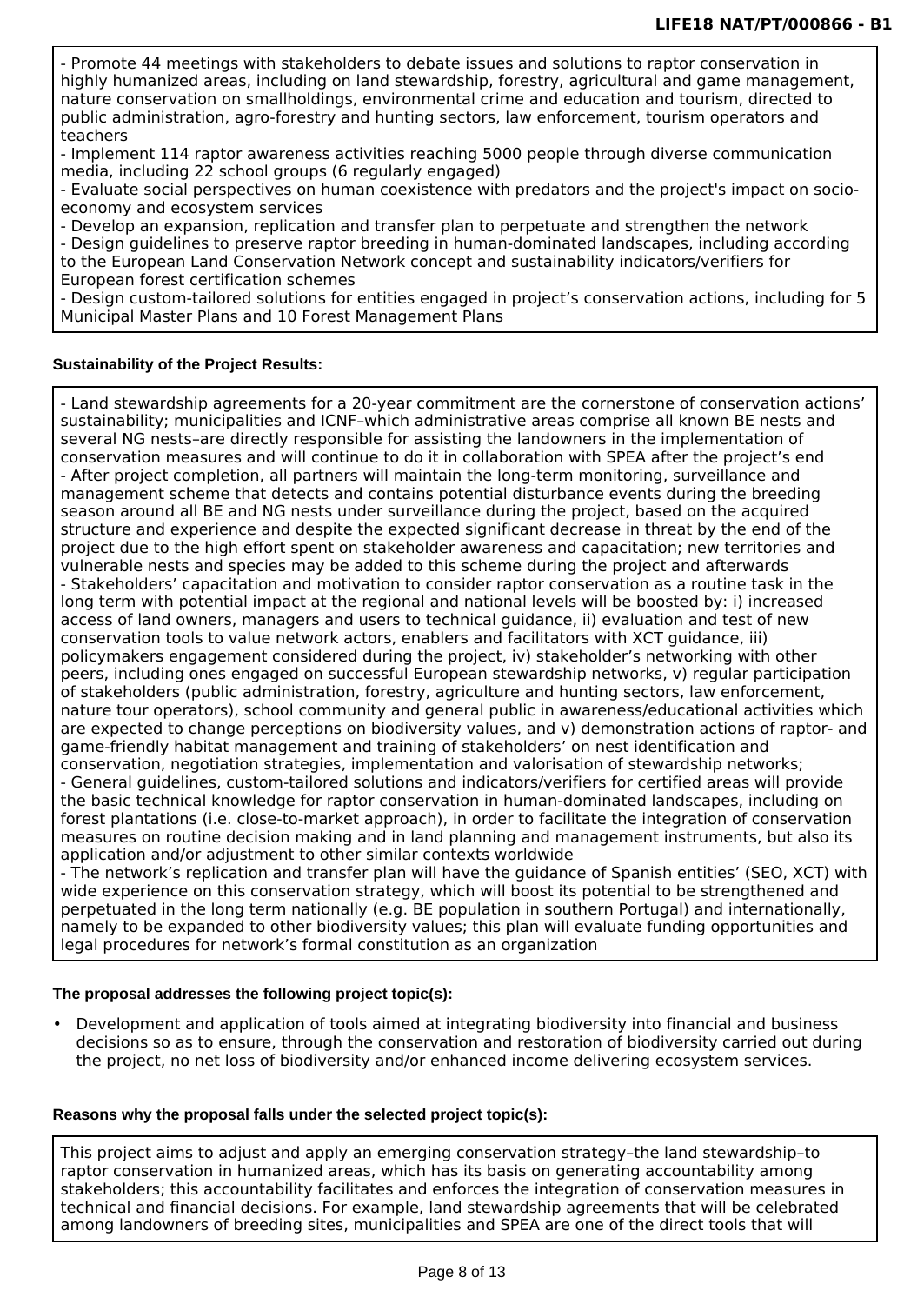- Promote 44 meetings with stakeholders to debate issues and solutions to raptor conservation in highly humanized areas, including on land stewardship, forestry, agricultural and game management, nature conservation on smallholdings, environmental crime and education and tourism, directed to public administration, agro-forestry and hunting sectors, law enforcement, tourism operators and teachers

- Implement 114 raptor awareness activities reaching 5000 people through diverse communication media, including 22 school groups (6 regularly engaged)

- Evaluate social perspectives on human coexistence with predators and the project's impact on socioeconomy and ecosystem services

- Develop an expansion, replication and transfer plan to perpetuate and strengthen the network - Design guidelines to preserve raptor breeding in human-dominated landscapes, including according to the European Land Conservation Network concept and sustainability indicators/verifiers for European forest certification schemes

- Design custom-tailored solutions for entities engaged in project's conservation actions, including for 5 Municipal Master Plans and 10 Forest Management Plans

#### **Sustainability of the Project Results:**

- Land stewardship agreements for a 20-year commitment are the cornerstone of conservation actions' sustainability; municipalities and ICNF–which administrative areas comprise all known BE nests and several NG nests–are directly responsible for assisting the landowners in the implementation of conservation measures and will continue to do it in collaboration with SPEA after the project's end - After project completion, all partners will maintain the long-term monitoring, surveillance and management scheme that detects and contains potential disturbance events during the breeding season around all BE and NG nests under surveillance during the project, based on the acquired structure and experience and despite the expected significant decrease in threat by the end of the project due to the high effort spent on stakeholder awareness and capacitation; new territories and vulnerable nests and species may be added to this scheme during the project and afterwards - Stakeholders' capacitation and motivation to consider raptor conservation as a routine task in the long term with potential impact at the regional and national levels will be boosted by: i) increased access of land owners, managers and users to technical guidance, ii) evaluation and test of new conservation tools to value network actors, enablers and facilitators with XCT guidance, iii) policymakers engagement considered during the project, iv) stakeholder's networking with other peers, including ones engaged on successful European stewardship networks, v) regular participation of stakeholders (public administration, forestry, agriculture and hunting sectors, law enforcement, nature tour operators), school community and general public in awareness/educational activities which are expected to change perceptions on biodiversity values, and v) demonstration actions of raptor- and game-friendly habitat management and training of stakeholders' on nest identification and conservation, negotiation strategies, implementation and valorisation of stewardship networks; - General guidelines, custom-tailored solutions and indicators/verifiers for certified areas will provide the basic technical knowledge for raptor conservation in human-dominated landscapes, including on forest plantations (i.e. close-to-market approach), in order to facilitate the integration of conservation measures on routine decision making and in land planning and management instruments, but also its application and/or adjustment to other similar contexts worldwide

- The network's replication and transfer plan will have the guidance of Spanish entities' (SEO, XCT) with wide experience on this conservation strategy, which will boost its potential to be strengthened and perpetuated in the long term nationally (e.g. BE population in southern Portugal) and internationally, namely to be expanded to other biodiversity values; this plan will evaluate funding opportunities and legal procedures for network's formal constitution as an organization

#### **The proposal addresses the following project topic(s):**

• Development and application of tools aimed at integrating biodiversity into financial and business decisions so as to ensure, through the conservation and restoration of biodiversity carried out during the project, no net loss of biodiversity and/or enhanced income delivering ecosystem services.

#### **Reasons why the proposal falls under the selected project topic(s):**

This project aims to adjust and apply an emerging conservation strategy–the land stewardship–to raptor conservation in humanized areas, which has its basis on generating accountability among stakeholders; this accountability facilitates and enforces the integration of conservation measures in technical and financial decisions. For example, land stewardship agreements that will be celebrated among landowners of breeding sites, municipalities and SPEA are one of the direct tools that will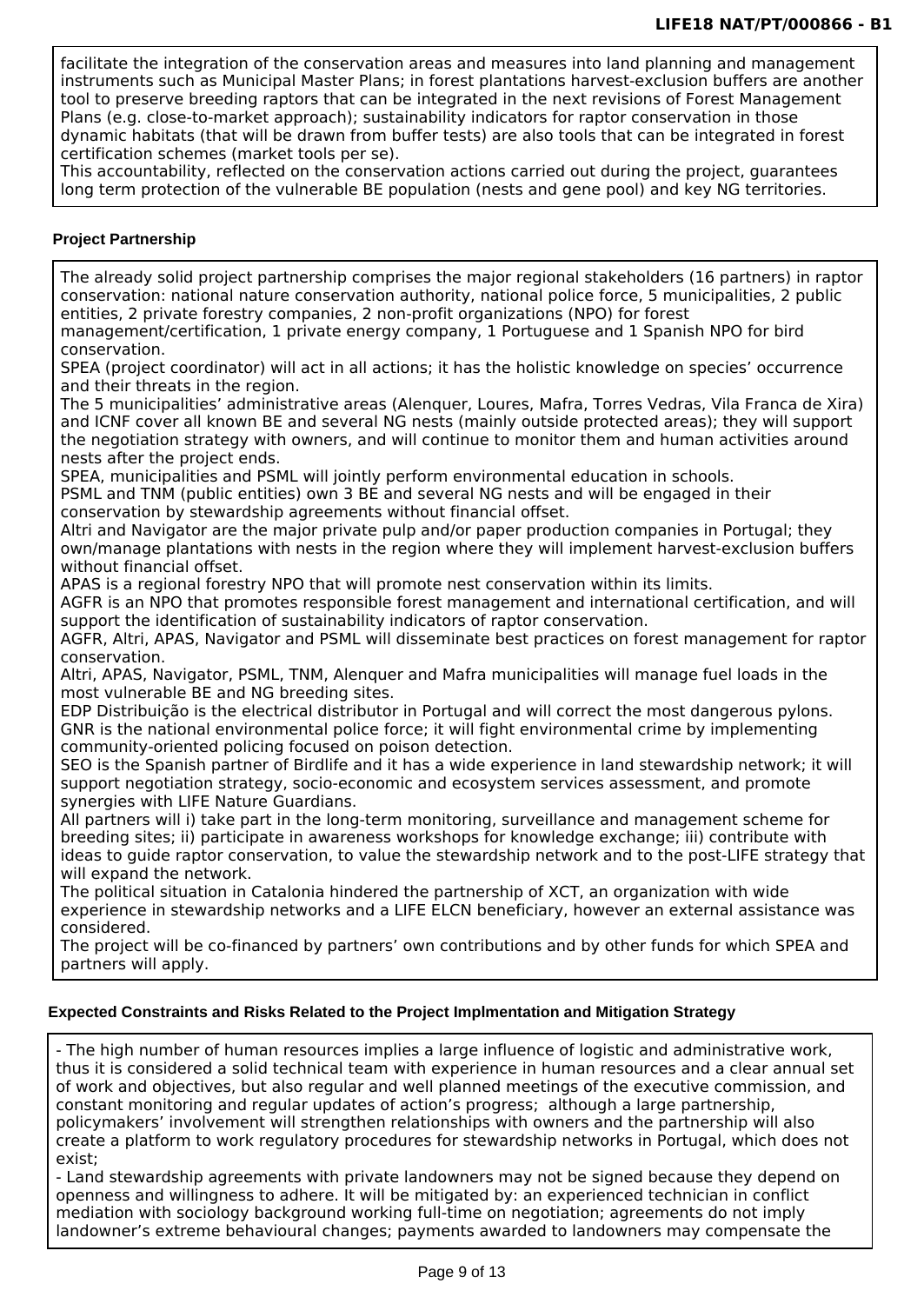facilitate the integration of the conservation areas and measures into land planning and management instruments such as Municipal Master Plans; in forest plantations harvest-exclusion buffers are another tool to preserve breeding raptors that can be integrated in the next revisions of Forest Management Plans (e.g. close-to-market approach); sustainability indicators for raptor conservation in those dynamic habitats (that will be drawn from buffer tests) are also tools that can be integrated in forest certification schemes (market tools per se).

This accountability, reflected on the conservation actions carried out during the project, guarantees long term protection of the vulnerable BE population (nests and gene pool) and key NG territories.

#### **Project Partnership**

The already solid project partnership comprises the major regional stakeholders (16 partners) in raptor conservation: national nature conservation authority, national police force, 5 municipalities, 2 public entities, 2 private forestry companies, 2 non-profit organizations (NPO) for forest

management/certification, 1 private energy company, 1 Portuguese and 1 Spanish NPO for bird conservation.

SPEA (project coordinator) will act in all actions; it has the holistic knowledge on species' occurrence and their threats in the region.

The 5 municipalities' administrative areas (Alenquer, Loures, Mafra, Torres Vedras, Vila Franca de Xira) and ICNF cover all known BE and several NG nests (mainly outside protected areas); they will support the negotiation strategy with owners, and will continue to monitor them and human activities around nests after the project ends.

SPEA, municipalities and PSML will jointly perform environmental education in schools.

PSML and TNM (public entities) own 3 BE and several NG nests and will be engaged in their

conservation by stewardship agreements without financial offset.

Altri and Navigator are the major private pulp and/or paper production companies in Portugal; they own/manage plantations with nests in the region where they will implement harvest-exclusion buffers without financial offset.

APAS is a regional forestry NPO that will promote nest conservation within its limits.

AGFR is an NPO that promotes responsible forest management and international certification, and will support the identification of sustainability indicators of raptor conservation.

AGFR, Altri, APAS, Navigator and PSML will disseminate best practices on forest management for raptor conservation.

Altri, APAS, Navigator, PSML, TNM, Alenquer and Mafra municipalities will manage fuel loads in the most vulnerable BE and NG breeding sites.

EDP Distribuição is the electrical distributor in Portugal and will correct the most dangerous pylons. GNR is the national environmental police force; it will fight environmental crime by implementing community-oriented policing focused on poison detection.

SEO is the Spanish partner of Birdlife and it has a wide experience in land stewardship network; it will support negotiation strategy, socio-economic and ecosystem services assessment, and promote synergies with LIFE Nature Guardians.

All partners will i) take part in the long-term monitoring, surveillance and management scheme for breeding sites; ii) participate in awareness workshops for knowledge exchange; iii) contribute with ideas to guide raptor conservation, to value the stewardship network and to the post-LIFE strategy that will expand the network.

The political situation in Catalonia hindered the partnership of XCT, an organization with wide experience in stewardship networks and a LIFE ELCN beneficiary, however an external assistance was considered.

The project will be co-financed by partners' own contributions and by other funds for which SPEA and partners will apply.

#### **Expected Constraints and Risks Related to the Project Implmentation and Mitigation Strategy**

- The high number of human resources implies a large influence of logistic and administrative work, thus it is considered a solid technical team with experience in human resources and a clear annual set of work and objectives, but also regular and well planned meetings of the executive commission, and constant monitoring and regular updates of action's progress; although a large partnership, policymakers' involvement will strengthen relationships with owners and the partnership will also create a platform to work regulatory procedures for stewardship networks in Portugal, which does not exist;

- Land stewardship agreements with private landowners may not be signed because they depend on openness and willingness to adhere. It will be mitigated by: an experienced technician in conflict mediation with sociology background working full-time on negotiation; agreements do not imply landowner's extreme behavioural changes; payments awarded to landowners may compensate the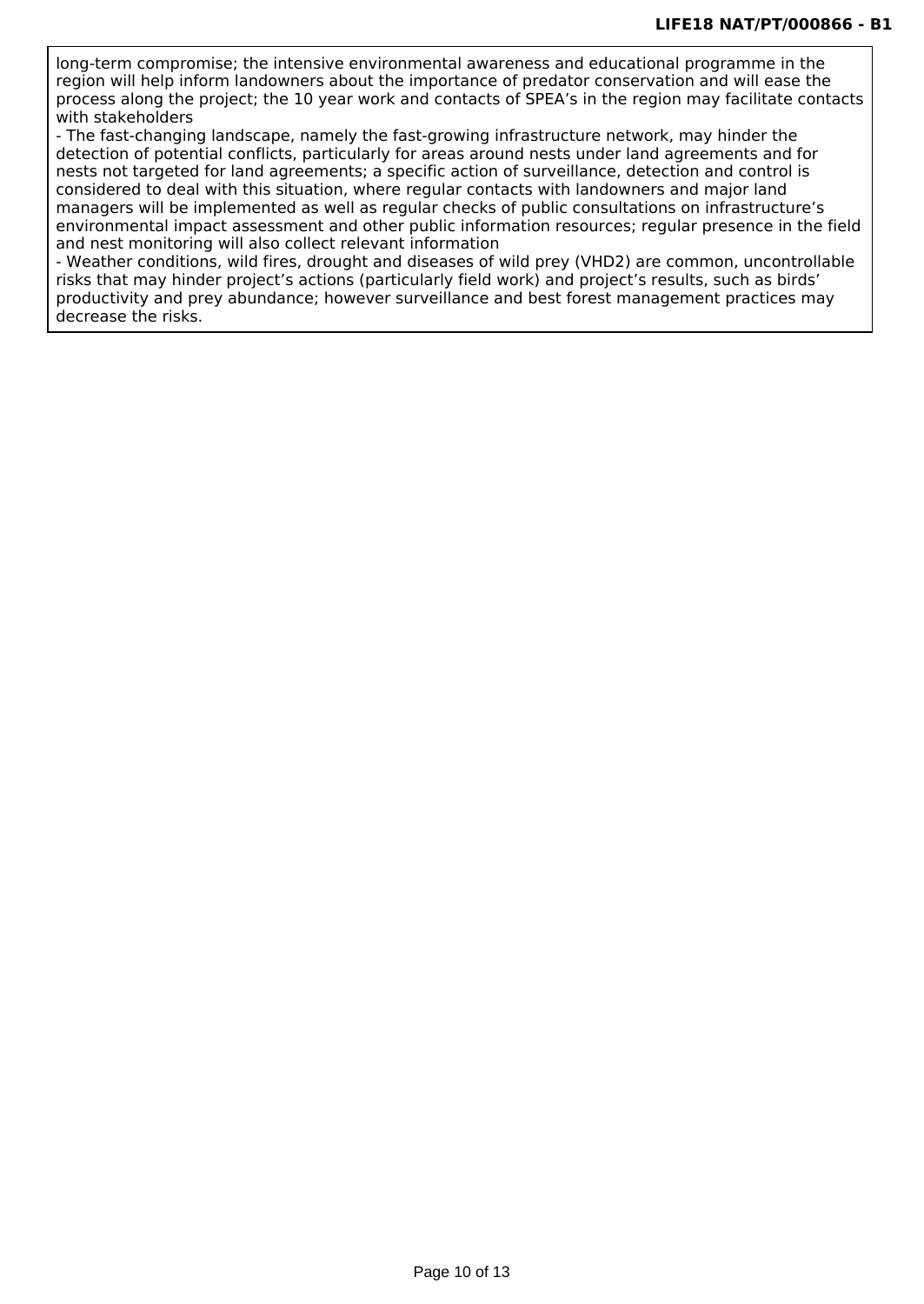long-term compromise; the intensive environmental awareness and educational programme in the region will help inform landowners about the importance of predator conservation and will ease the process along the project; the 10 year work and contacts of SPEA's in the region may facilitate contacts with stakeholders

- The fast-changing landscape, namely the fast-growing infrastructure network, may hinder the detection of potential conflicts, particularly for areas around nests under land agreements and for nests not targeted for land agreements; a specific action of surveillance, detection and control is considered to deal with this situation, where regular contacts with landowners and major land managers will be implemented as well as regular checks of public consultations on infrastructure's environmental impact assessment and other public information resources; regular presence in the field and nest monitoring will also collect relevant information

- Weather conditions, wild fires, drought and diseases of wild prey (VHD2) are common, uncontrollable risks that may hinder project's actions (particularly field work) and project's results, such as birds' productivity and prey abundance; however surveillance and best forest management practices may decrease the risks.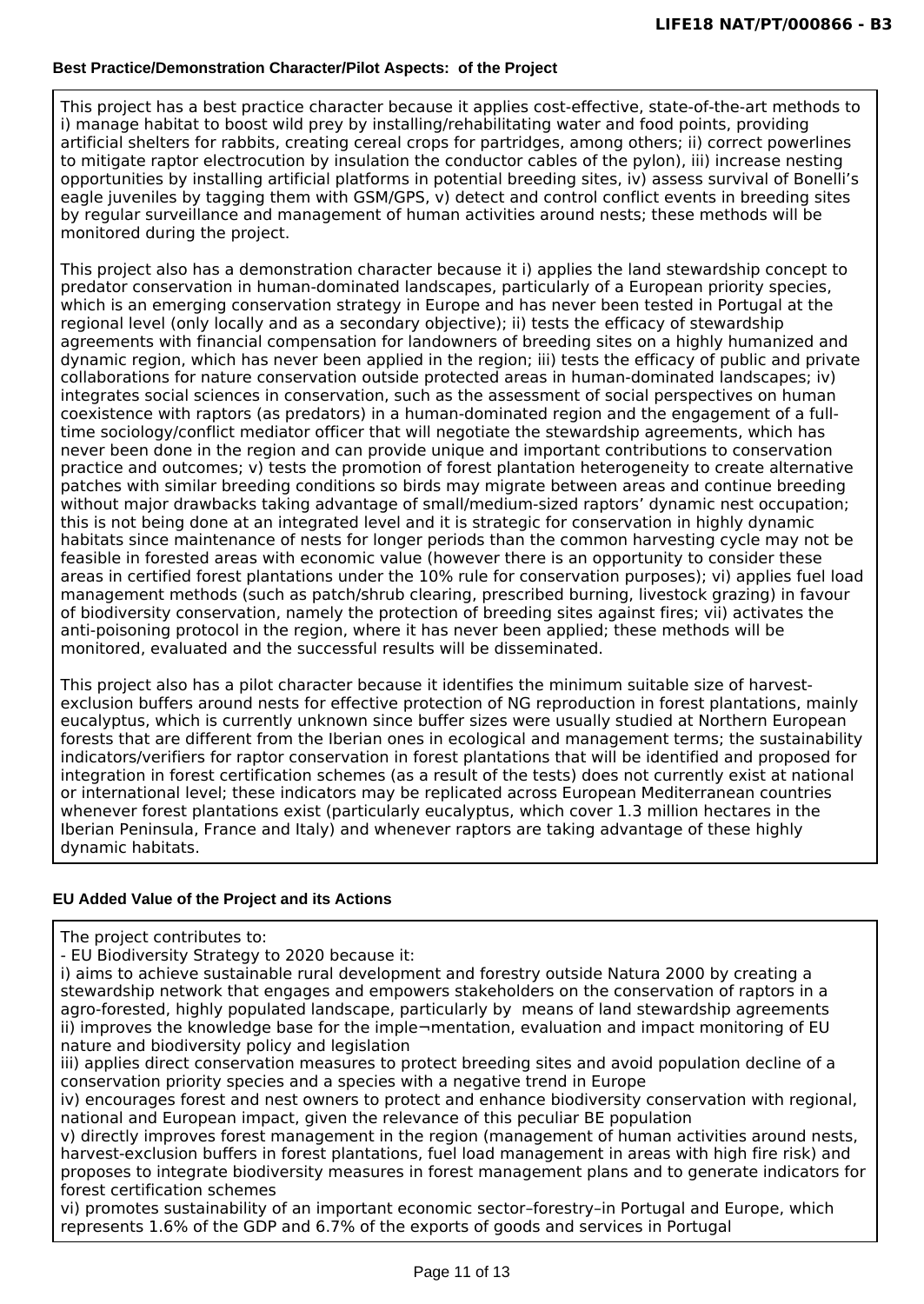#### **Best Practice/Demonstration Character/Pilot Aspects: of the Project**

This project has a best practice character because it applies cost-effective, state-of-the-art methods to i) manage habitat to boost wild prey by installing/rehabilitating water and food points, providing artificial shelters for rabbits, creating cereal crops for partridges, among others; ii) correct powerlines to mitigate raptor electrocution by insulation the conductor cables of the pylon), iii) increase nesting opportunities by installing artificial platforms in potential breeding sites, iv) assess survival of Bonelli's eagle juveniles by tagging them with GSM/GPS, v) detect and control conflict events in breeding sites by regular surveillance and management of human activities around nests; these methods will be monitored during the project.

This project also has a demonstration character because it i) applies the land stewardship concept to predator conservation in human-dominated landscapes, particularly of a European priority species, which is an emerging conservation strategy in Europe and has never been tested in Portugal at the regional level (only locally and as a secondary objective); ii) tests the efficacy of stewardship agreements with financial compensation for landowners of breeding sites on a highly humanized and dynamic region, which has never been applied in the region; iii) tests the efficacy of public and private collaborations for nature conservation outside protected areas in human-dominated landscapes; iv) integrates social sciences in conservation, such as the assessment of social perspectives on human coexistence with raptors (as predators) in a human-dominated region and the engagement of a fulltime sociology/conflict mediator officer that will negotiate the stewardship agreements, which has never been done in the region and can provide unique and important contributions to conservation practice and outcomes; v) tests the promotion of forest plantation heterogeneity to create alternative patches with similar breeding conditions so birds may migrate between areas and continue breeding without major drawbacks taking advantage of small/medium-sized raptors' dynamic nest occupation; this is not being done at an integrated level and it is strategic for conservation in highly dynamic habitats since maintenance of nests for longer periods than the common harvesting cycle may not be feasible in forested areas with economic value (however there is an opportunity to consider these areas in certified forest plantations under the 10% rule for conservation purposes); vi) applies fuel load management methods (such as patch/shrub clearing, prescribed burning, livestock grazing) in favour of biodiversity conservation, namely the protection of breeding sites against fires; vii) activates the anti-poisoning protocol in the region, where it has never been applied; these methods will be monitored, evaluated and the successful results will be disseminated.

This project also has a pilot character because it identifies the minimum suitable size of harvestexclusion buffers around nests for effective protection of NG reproduction in forest plantations, mainly eucalyptus, which is currently unknown since buffer sizes were usually studied at Northern European forests that are different from the Iberian ones in ecological and management terms; the sustainability indicators/verifiers for raptor conservation in forest plantations that will be identified and proposed for integration in forest certification schemes (as a result of the tests) does not currently exist at national or international level; these indicators may be replicated across European Mediterranean countries whenever forest plantations exist (particularly eucalyptus, which cover 1.3 million hectares in the Iberian Peninsula, France and Italy) and whenever raptors are taking advantage of these highly dynamic habitats.

#### **EU Added Value of the Project and its Actions**

The project contributes to:

- EU Biodiversity Strategy to 2020 because it:

i) aims to achieve sustainable rural development and forestry outside Natura 2000 by creating a stewardship network that engages and empowers stakeholders on the conservation of raptors in a agro-forested, highly populated landscape, particularly by means of land stewardship agreements ii) improves the knowledge base for the imple-mentation, evaluation and impact monitoring of EU nature and biodiversity policy and legislation

iii) applies direct conservation measures to protect breeding sites and avoid population decline of a conservation priority species and a species with a negative trend in Europe

iv) encourages forest and nest owners to protect and enhance biodiversity conservation with regional, national and European impact, given the relevance of this peculiar BE population

v) directly improves forest management in the region (management of human activities around nests, harvest-exclusion buffers in forest plantations, fuel load management in areas with high fire risk) and proposes to integrate biodiversity measures in forest management plans and to generate indicators for forest certification schemes

vi) promotes sustainability of an important economic sector–forestry–in Portugal and Europe, which represents 1.6% of the GDP and 6.7% of the exports of goods and services in Portugal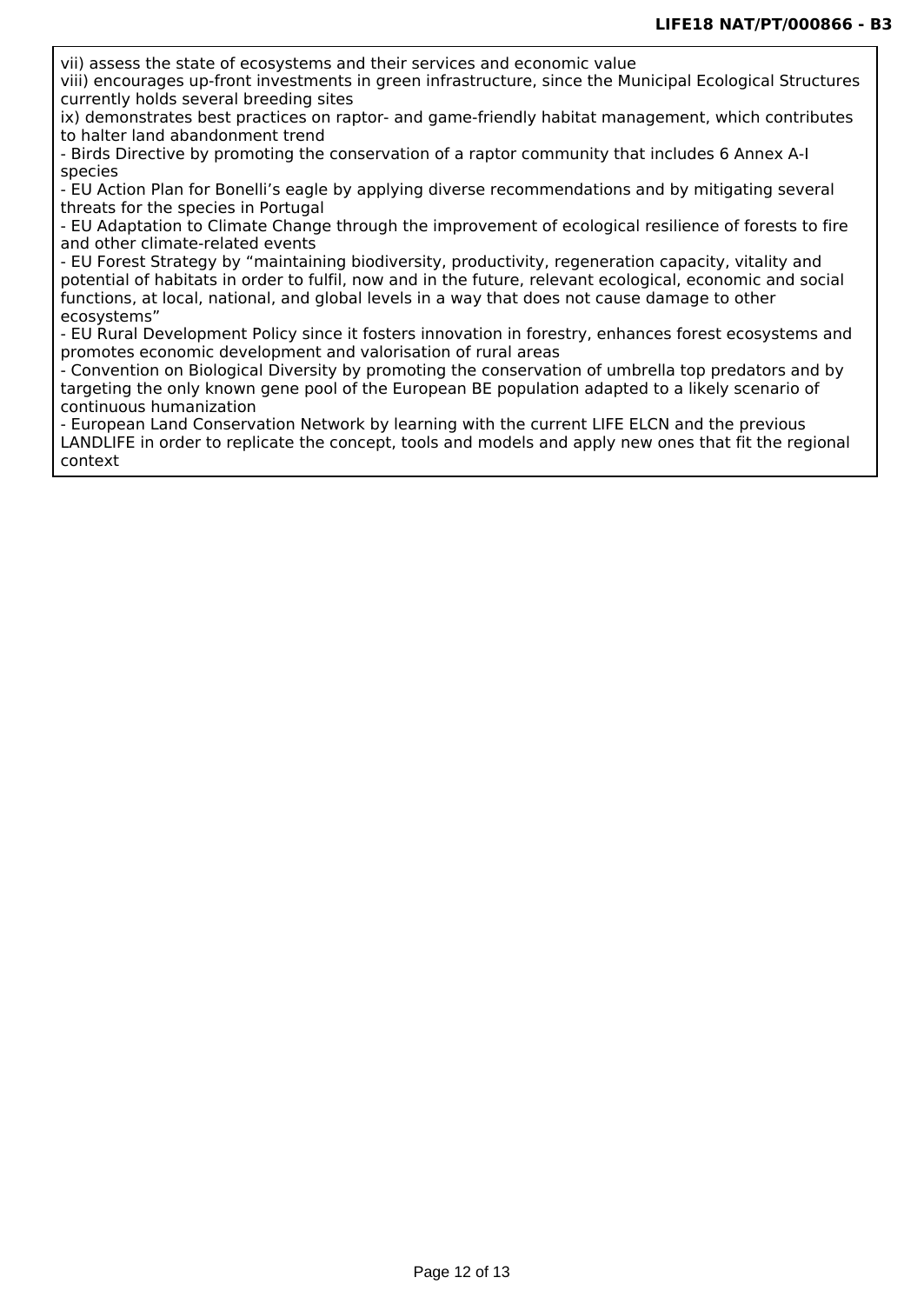vii) assess the state of ecosystems and their services and economic value

viii) encourages up-front investments in green infrastructure, since the Municipal Ecological Structures currently holds several breeding sites

ix) demonstrates best practices on raptor- and game-friendly habitat management, which contributes to halter land abandonment trend

- Birds Directive by promoting the conservation of a raptor community that includes 6 Annex A-I species

- EU Action Plan for Bonelli's eagle by applying diverse recommendations and by mitigating several threats for the species in Portugal

- EU Adaptation to Climate Change through the improvement of ecological resilience of forests to fire and other climate-related events

- EU Forest Strategy by "maintaining biodiversity, productivity, regeneration capacity, vitality and potential of habitats in order to fulfil, now and in the future, relevant ecological, economic and social functions, at local, national, and global levels in a way that does not cause damage to other ecosystems"

- EU Rural Development Policy since it fosters innovation in forestry, enhances forest ecosystems and promotes economic development and valorisation of rural areas

- Convention on Biological Diversity by promoting the conservation of umbrella top predators and by targeting the only known gene pool of the European BE population adapted to a likely scenario of continuous humanization

- European Land Conservation Network by learning with the current LIFE ELCN and the previous LANDLIFE in order to replicate the concept, tools and models and apply new ones that fit the regional context